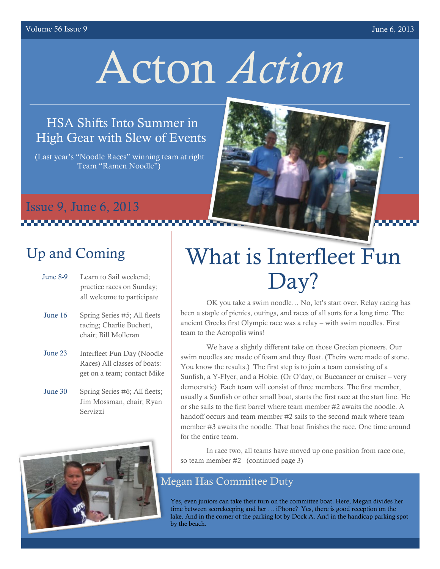#### volume 56 Issue 9 June 6, 2013

# Acton *Action*

#### HSA Shifts Into Summer in High Gear with Slew of Events

(Last year's "Noodle Races" winning team at right Team "Ramen Noodle")



#### Issue 9, June 6, 2013 ,,,,,,,,,,,,,,,,,,,,,,,,

## Up and Coming

- June 8-9 Learn to Sail weekend; practice races on Sunday; all welcome to participate
- June 16 Spring Series #5; All fleets racing; Charlie Buchert, chair; Bill Molleran
- June 23 Interfleet Fun Day (Noodle Races) All classes of boats: get on a team; contact Mike
- June 30 Spring Series #6; All fleets; Jim Mossman, chair; Ryan Servizzi



# What is Interfleet Fun Day?

OK you take a swim noodle… No, let's start over. Relay racing has been a staple of picnics, outings, and races of all sorts for a long time. The ancient Greeks first Olympic race was a relay – with swim noodles. First team to the Acropolis wins!

We have a slightly different take on those Grecian pioneers. Our swim noodles are made of foam and they float. (Theirs were made of stone. You know the results.) The first step is to join a team consisting of a Sunfish, a Y-Flyer, and a Hobie. (Or O'day, or Buccaneer or cruiser – very democratic) Each team will consist of three members. The first member, usually a Sunfish or other small boat, starts the first race at the start line. He or she sails to the first barrel where team member #2 awaits the noodle. A handoff occurs and team member #2 sails to the second mark where team member #3 awaits the noodle. That boat finishes the race. One time around for the entire team.

In race two, all teams have moved up one position from race one, so team member #2 (continued page 3)

#### Megan Has Committee Duty

Yes, even juniors can take their turn on the committee boat. Here, Megan divides her time between scorekeeping and her … iPhone? Yes, there is good reception on the lake. And in the corner of the parking lot by Dock A. And in the handicap parking spot by the beach.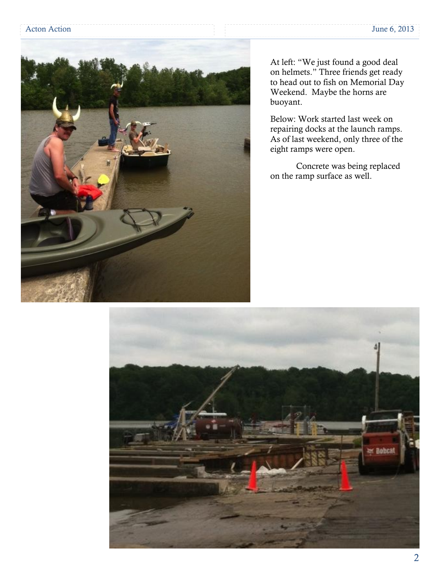

At left: "We just found a good deal on helmets." Three friends get ready to head out to fish on Memorial Day Weekend. Maybe the horns are buoyant.

Below: Work started last week on repairing docks at the launch ramps. As of last weekend, only three of the eight ramps were open.

Concrete was being replaced on the ramp surface as well.